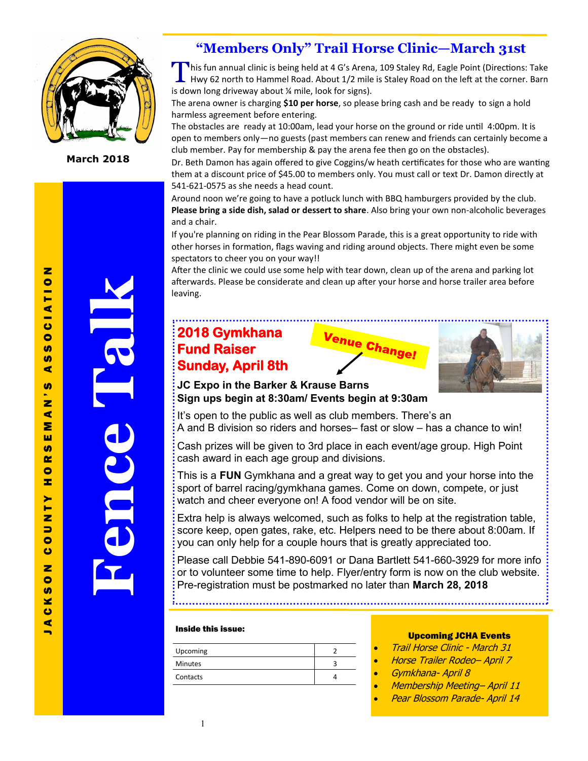

**March 2018**

### **"Members Only" Trail Horse Clinic—March 31st**

This fun annual clinic is being held at 4 G's Arena, 109 Staley Rd, Eagle Point (Directions: Take<br>Hwy 62 north to Hammel Road. About 1/2 mile is Staley Road on the left at the corner. Barn Hwy 62 north to Hammel Road. About 1/2 mile is Staley Road on the left at the corner. Barn is down long driveway about ¼ mile, look for signs).

The arena owner is charging **\$10 per horse**, so please bring cash and be ready to sign a hold harmless agreement before entering.

The obstacles are ready at 10:00am, lead your horse on the ground or ride until 4:00pm. It is open to members only—no guests (past members can renew and friends can certainly become a club member. Pay for membership & pay the arena fee then go on the obstacles).

Dr. Beth Damon has again offered to give Coggins/w heath certificates for those who are wanting them at a discount price of \$45.00 to members only. You must call or text Dr. Damon directly at 541-621-0575 as she needs a head count.

Around noon we're going to have a potluck lunch with BBQ hamburgers provided by the club. **Please bring a side dish, salad or dessert to share**. Also bring your own non-alcoholic beverages and a chair.

If you're planning on riding in the Pear Blossom Parade, this is a great opportunity to ride with other horses in formation, flags waving and riding around objects. There might even be some spectators to cheer you on your way!!

After the clinic we could use some help with tear down, clean up of the arena and parking lot afterwards. Please be considerate and clean up after your horse and horse trailer area before leaving.

### **2018 Gymkhana Fund Raiser Sunday, April 8th**





**JC Expo in the Barker & Krause Barns Sign ups begin at 8:30am/ Events begin at 9:30am** 

It's open to the public as well as club members. There's an A and B division so riders and horses– fast or slow – has a chance to win!

Cash prizes will be given to 3rd place in each event/age group. High Point cash award in each age group and divisions.

This is a **FUN** Gymkhana and a great way to get you and your horse into the sport of barrel racing/gymkhana games. Come on down, compete, or just watch and cheer everyone on! A food vendor will be on site.

Extra help is always welcomed, such as folks to help at the registration table, score keep, open gates, rake, etc. Helpers need to be there about 8:00am. If you can only help for a couple hours that is greatly appreciated too.

Please call Debbie 541-890-6091 or Dana Bartlett 541-660-3929 for more info or to volunteer some time to help. Flyer/entry form is now on the club website. Pre-registration must be postmarked no later than **March 28, 2018**

#### Inside this issue:

| Upcoming       |  |
|----------------|--|
| <b>Minutes</b> |  |
| Contacts       |  |

#### Upcoming JCHA Events

- Trail Horse Clinic March 31
- Horse Trailer Rodeo– April 7
- Gymkhana- April 8
- Membership Meeting– April 11
- Pear Blossom Parade- April 14

 $\blacksquare$ 

**Fence Talk**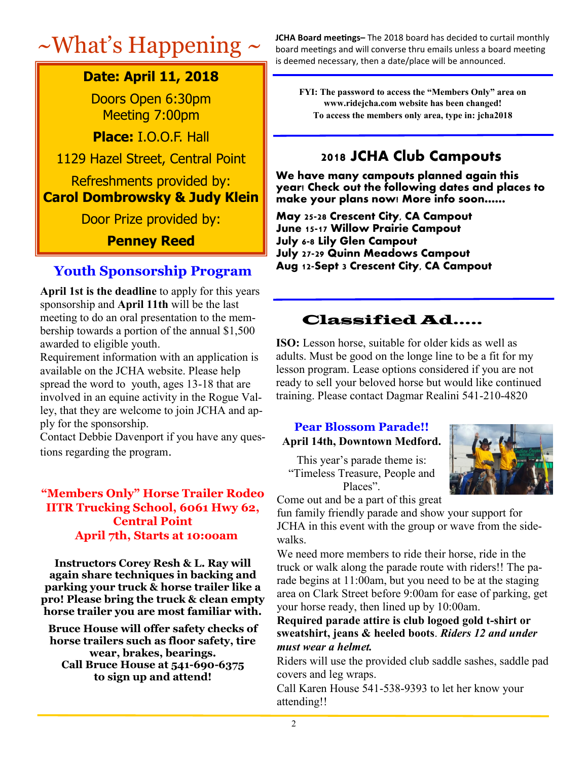### **Date: April 11, 2018**

Doors Open 6:30pm Meeting 7:00pm

**Place:** I.O.O.F. Hall

1129 Hazel Street, Central Point

### Refreshments provided by: **Carol Dombrowsky & Judy Klein**

Door Prize provided by:

**Penney Reed**

### **Youth Sponsorship Program**

**April 1st is the deadline** to apply for this years sponsorship and **April 11th** will be the last meeting to do an oral presentation to the membership towards a portion of the annual \$1,500 awarded to eligible youth.

Requirement information with an application is available on the JCHA website. Please help spread the word to youth, ages 13-18 that are involved in an equine activity in the Rogue Valley, that they are welcome to join JCHA and apply for the sponsorship.

Contact Debbie Davenport if you have any questions regarding the program.

### **"Members Only" Horse Trailer Rodeo IITR Trucking School, 6061 Hwy 62, Central Point April 7th, Starts at 10:ooam**

**Instructors Corey Resh & L. Ray will again share techniques in backing and parking your truck & horse trailer like a pro! Please bring the truck & clean empty horse trailer you are most familiar with.** 

**Bruce House will offer safety checks of horse trailers such as floor safety, tire wear, brakes, bearings. Call Bruce House at 541-690-6375 to sign up and attend!** 

 $~\sim$  **What's Happening**  $\sim$  JCHA Board meetings– The 2018 board has decided to curtail monthly board meetings and will converse thru emails unless a board meeting board meetings and will converse thru emails unless a board meeting is deemed necessary, then a date/place will be announced.

> **FYI: The password to access the "Members Only" area on www.ridejcha.com website has been changed! To access the members only area, type in: jcha2018**

### **2018 JCHA Club Campouts**

**We have many campouts planned again this year! Check out the following dates and places to make your plans now! More info soon……**

**May 25-28 Crescent City, CA Campout June 15-17 Willow Prairie Campout July 6-8 Lily Glen Campout July 27-29 Quinn Meadows Campout Aug 12-Sept 3 Crescent City, CA Campout**

## Classified Ad…..

**ISO:** Lesson horse, suitable for older kids as well as adults. Must be good on the longe line to be a fit for my lesson program. Lease options considered if you are not ready to sell your beloved horse but would like continued training. Please contact Dagmar Realini 541-210-4820

# **Pear Blossom Parade!!**

**April 14th, Downtown Medford.**

This year's parade theme is: "Timeless Treasure, People and Places".



Come out and be a part of this great

fun family friendly parade and show your support for JCHA in this event with the group or wave from the sidewalks.

We need more members to ride their horse, ride in the truck or walk along the parade route with riders!! The parade begins at 11:00am, but you need to be at the staging area on Clark Street before 9:00am for ease of parking, get your horse ready, then lined up by 10:00am.

### **Required parade attire is club logoed gold t-shirt or sweatshirt, jeans & heeled boots**. *Riders 12 and under must wear a helmet.*

Riders will use the provided club saddle sashes, saddle pad covers and leg wraps.

Call Karen House 541-538-9393 to let her know your attending!!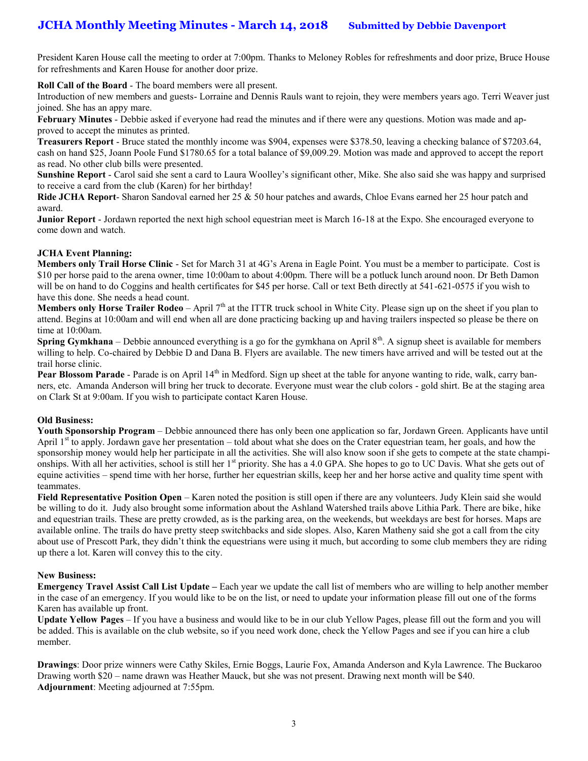### **JCHA Monthly Meeting Minutes - March 14, 2018 Submitted by Debbie Davenport**

President Karen House call the meeting to order at 7:00pm. Thanks to Meloney Robles for refreshments and door prize, Bruce House for refreshments and Karen House for another door prize.

**Roll Call of the Board** - The board members were all present.

Introduction of new members and guests- Lorraine and Dennis Rauls want to rejoin, they were members years ago. Terri Weaver just joined. She has an appy mare.

**February Minutes** - Debbie asked if everyone had read the minutes and if there were any questions. Motion was made and approved to accept the minutes as printed.

**Treasurers Report** - Bruce stated the monthly income was \$904, expenses were \$378.50, leaving a checking balance of \$7203.64, cash on hand \$25, Joann Poole Fund \$1780.65 for a total balance of \$9,009.29. Motion was made and approved to accept the report as read. No other club bills were presented.

**Sunshine Report** - Carol said she sent a card to Laura Woolley's significant other, Mike. She also said she was happy and surprised to receive a card from the club (Karen) for her birthday!

**Ride JCHA Report**- Sharon Sandoval earned her 25 & 50 hour patches and awards, Chloe Evans earned her 25 hour patch and award.

**Junior Report** - Jordawn reported the next high school equestrian meet is March 16-18 at the Expo. She encouraged everyone to come down and watch.

#### **JCHA Event Planning:**

**Members only Trail Horse Clinic** - Set for March 31 at 4G's Arena in Eagle Point. You must be a member to participate. Cost is \$10 per horse paid to the arena owner, time 10:00am to about 4:00pm. There will be a potluck lunch around noon. Dr Beth Damon will be on hand to do Coggins and health certificates for \$45 per horse. Call or text Beth directly at 541-621-0575 if you wish to have this done. She needs a head count.

**Members only Horse Trailer Rodeo** – April 7<sup>th</sup> at the ITTR truck school in White City. Please sign up on the sheet if you plan to attend. Begins at 10:00am and will end when all are done practicing backing up and having trailers inspected so please be there on time at 10:00am.

**Spring Gymkhana** – Debbie announced everything is a go for the gymkhana on April 8<sup>th</sup>. A signup sheet is available for members willing to help. Co-chaired by Debbie D and Dana B. Flyers are available. The new timers have arrived and will be tested out at the trail horse clinic.

**Pear Blossom Parade** - Parade is on April 14<sup>th</sup> in Medford. Sign up sheet at the table for anyone wanting to ride, walk, carry banners, etc. Amanda Anderson will bring her truck to decorate. Everyone must wear the club colors - gold shirt. Be at the staging area on Clark St at 9:00am. If you wish to participate contact Karen House.

#### **Old Business:**

**Youth Sponsorship Program** – Debbie announced there has only been one application so far, Jordawn Green. Applicants have until April  $1<sup>st</sup>$  to apply. Jordawn gave her presentation – told about what she does on the Crater equestrian team, her goals, and how the sponsorship money would help her participate in all the activities. She will also know soon if she gets to compete at the state championships. With all her activities, school is still her  $1<sup>st</sup>$  priority. She has a 4.0 GPA. She hopes to go to UC Davis. What she gets out of equine activities – spend time with her horse, further her equestrian skills, keep her and her horse active and quality time spent with teammates.

**Field Representative Position Open** – Karen noted the position is still open if there are any volunteers. Judy Klein said she would be willing to do it. Judy also brought some information about the Ashland Watershed trails above Lithia Park. There are bike, hike and equestrian trails. These are pretty crowded, as is the parking area, on the weekends, but weekdays are best for horses. Maps are available online. The trails do have pretty steep switchbacks and side slopes. Also, Karen Matheny said she got a call from the city about use of Prescott Park, they didn't think the equestrians were using it much, but according to some club members they are riding up there a lot. Karen will convey this to the city.

#### **New Business:**

**Emergency Travel Assist Call List Update –** Each year we update the call list of members who are willing to help another member in the case of an emergency. If you would like to be on the list, or need to update your information please fill out one of the forms Karen has available up front.

**Update Yellow Pages** – If you have a business and would like to be in our club Yellow Pages, please fill out the form and you will be added. This is available on the club website, so if you need work done, check the Yellow Pages and see if you can hire a club member.

**Drawings**: Door prize winners were Cathy Skiles, Ernie Boggs, Laurie Fox, Amanda Anderson and Kyla Lawrence. The Buckaroo Drawing worth \$20 – name drawn was Heather Mauck, but she was not present. Drawing next month will be \$40. **Adjournment**: Meeting adjourned at 7:55pm.